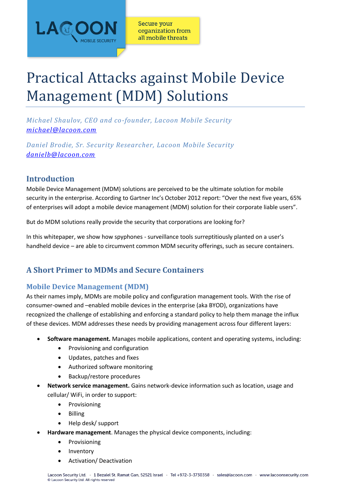

# Practical Attacks against Mobile Device Management (MDM) Solutions

*Michael Shaulov, CEO and co-founder, Lacoon Mobile Security [michael@lacoon.com](mailto:michael@lacoon.com)*

*Daniel Brodie, Sr. Security Researcher, Lacoon Mobile Security [danielb@lacoon.com](mailto:danielb@lacoonsecurity.com)*

# **Introduction**

Mobile Device Management (MDM) solutions are perceived to be the ultimate solution for mobile security in the enterprise. According to Gartner Inc's October 2012 report: "Over the next five years, 65% of enterprises will adopt a mobile device management (MDM) solution for their corporate liable users".

But do MDM solutions really provide the security that corporations are looking for?

In this whitepaper, we show how spyphones - surveillance tools surreptitiously planted on a user's handheld device – are able to circumvent common MDM security offerings, such as secure containers.

# **A Short Primer to MDMs and Secure Containers**

# **Mobile Device Management (MDM)**

As their names imply, MDMs are mobile policy and configuration management tools. With the rise of consumer-owned and –enabled mobile devices in the enterprise (aka BYOD), organizations have recognized the challenge of establishing and enforcing a standard policy to help them manage the influx of these devices. MDM addresses these needs by providing management across four different layers:

- **Software management.** Manages mobile applications, content and operating systems, including:
	- Provisioning and configuration
	- Updates, patches and fixes
	- Authorized software monitoring
	- Backup/restore procedures
- **Network service management.** Gains network-device information such as location, usage and cellular/ WiFi, in order to support:
	- Provisioning
	- Billing
	- Help desk/ support
- **Hardware management**. Manages the physical device components, including:
	- Provisioning
	- Inventory
	- Activation/ Deactivation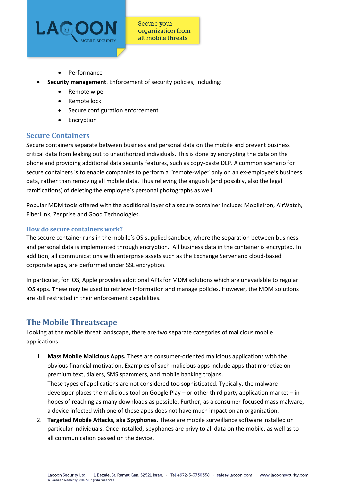

- Performance
- **Security management**. Enforcement of security policies, including:
	- Remote wipe
	- Remote lock
	- Secure configuration enforcement
	- **•** Encryption

## **Secure Containers**

Secure containers separate between business and personal data on the mobile and prevent business critical data from leaking out to unauthorized individuals. This is done by encrypting the data on the phone and providing additional data security features, such as copy-paste DLP. A common scenario for secure containers is to enable companies to perform a "remote-wipe" only on an ex-employee's business data, rather than removing all mobile data. Thus relieving the anguish (and possibly, also the legal ramifications) of deleting the employee's personal photographs as well.

Popular MDM tools offered with the additional layer of a secure container include: MobileIron, AirWatch, FiberLink, Zenprise and Good Technologies.

#### **How do secure containers work?**

The secure container runs in the mobile's OS supplied sandbox, where the separation between business and personal data is implemented through encryption. All business data in the container is encrypted. In addition, all communications with enterprise assets such as the Exchange Server and cloud-based corporate apps, are performed under SSL encryption.

In particular, for iOS, Apple provides additional APIs for MDM solutions which are unavailable to regular iOS apps. These may be used to retrieve information and manage policies. However, the MDM solutions are still restricted in their enforcement capabilities.

## **The Mobile Threatscape**

Looking at the mobile threat landscape, there are two separate categories of malicious mobile applications:

- 1. **Mass Mobile Malicious Apps.** These are consumer-oriented malicious applications with the obvious financial motivation. Examples of such malicious apps include apps that monetize on premium text, dialers, SMS spammers, and mobile banking trojans. These types of applications are not considered too sophisticated. Typically, the malware developer places the malicious tool on Google Play – or other third party application market – in hopes of reaching as many downloads as possible. Further, as a consumer-focused mass malware, a device infected with one of these apps does not have much impact on an organization.
- 2. **Targeted Mobile Attacks, aka Spyphones.** These are mobile surveillance software installed on particular individuals. Once installed, spyphones are privy to all data on the mobile, as well as to all communication passed on the device.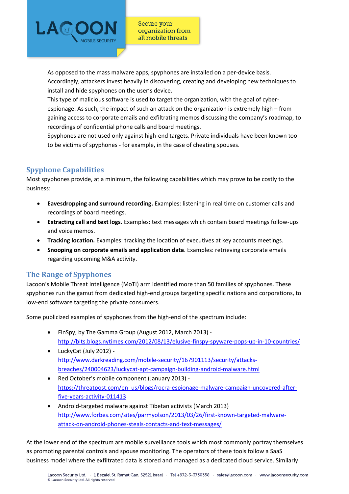

As opposed to the mass malware apps, spyphones are installed on a per-device basis. Accordingly, attackers invest heavily in discovering, creating and developing new techniques to install and hide spyphones on the user's device.

This type of malicious software is used to target the organization, with the goal of cyberespionage. As such, the impact of such an attack on the organization is extremely high – from gaining access to corporate emails and exfiltrating memos discussing the company's roadmap, to recordings of confidential phone calls and board meetings.

Spyphones are not used only against high-end targets. Private individuals have been known too to be victims of spyphones - for example, in the case of cheating spouses.

# **Spyphone Capabilities**

Most spyphones provide, at a minimum, the following capabilities which may prove to be costly to the business:

- **Eavesdropping and surround recording.** Examples: listening in real time on customer calls and recordings of board meetings.
- **Extracting call and text logs.** Examples: text messages which contain board meetings follow-ups and voice memos.
- **Tracking location.** Examples: tracking the location of executives at key accounts meetings.
- **Snooping on corporate emails and application data**. Examples: retrieving corporate emails regarding upcoming M&A activity.

## **The Range of Spyphones**

Lacoon's Mobile Threat Intelligence (MoTI) arm identified more than 50 families of spyphones. These spyphones run the gamut from dedicated high-end groups targeting specific nations and corporations, to low-end software targeting the private consumers.

Some publicized examples of spyphones from the high-end of the spectrum include:

- FinSpy, by The Gamma Group (August 2012, March 2013) <http://bits.blogs.nytimes.com/2012/08/13/elusive-finspy-spyware-pops-up-in-10-countries/>
- LuckyCat (July 2012) [http://www.darkreading.com/mobile-security/167901113/security/attacks](http://www.darkreading.com/mobile-security/167901113/security/attacks-breaches/240004623/luckycat-apt-campaign-building-android-malware.html)[breaches/240004623/luckycat-apt-campaign-building-android-malware.html](http://www.darkreading.com/mobile-security/167901113/security/attacks-breaches/240004623/luckycat-apt-campaign-building-android-malware.html)
- Red October's mobile component (January 2013) [https://threatpost.com/en\\_us/blogs/rocra-espionage-malware-campaign-uncovered-after](https://threatpost.com/en_us/blogs/rocra-espionage-malware-campaign-uncovered-after-five-years-activity-011413)[five-years-activity-011413](https://threatpost.com/en_us/blogs/rocra-espionage-malware-campaign-uncovered-after-five-years-activity-011413)
- Android-targeted malware against Tibetan activists (March 2013) [http://www.forbes.com/sites/parmyolson/2013/03/26/first-known-targeted-malware](http://www.forbes.com/sites/parmyolson/2013/03/26/first-known-targeted-malware-attack-on-android-phones-steals-contacts-and-text-messages/)[attack-on-android-phones-steals-contacts-and-text-messages/](http://www.forbes.com/sites/parmyolson/2013/03/26/first-known-targeted-malware-attack-on-android-phones-steals-contacts-and-text-messages/)

At the lower end of the spectrum are mobile surveillance tools which most commonly portray themselves as promoting parental controls and spouse monitoring. The operators of these tools follow a SaaS business model where the exfiltrated data is stored and managed as a dedicated cloud service. Similarly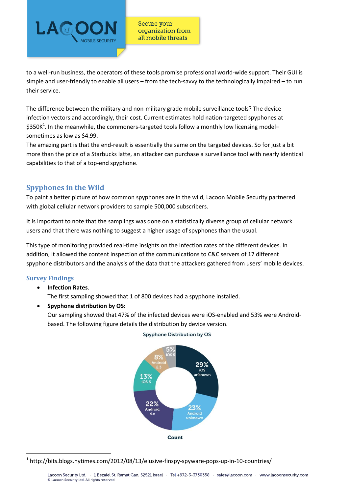

to a well-run business, the operators of these tools promise professional world-wide support. Their GUI is simple and user-friendly to enable all users – from the tech-savvy to the technologically impaired – to run their service.

The difference between the military and non-military grade mobile surveillance tools? The device infection vectors and accordingly, their cost. Current estimates hold nation-targeted spyphones at \$350K<sup>1</sup>. In the meanwhile, the commoners-targeted tools follow a monthly low licensing modelsometimes as low as \$4.99.

The amazing part is that the end-result is essentially the same on the targeted devices. So for just a bit more than the price of a Starbucks latte, an attacker can purchase a surveillance tool with nearly identical capabilities to that of a top-end spyphone.

## **Spyphones in the Wild**

To paint a better picture of how common spyphones are in the wild, Lacoon Mobile Security partnered with global cellular network providers to sample 500,000 subscribers.

It is important to note that the samplings was done on a statistically diverse group of cellular network users and that there was nothing to suggest a higher usage of spyphones than the usual.

This type of monitoring provided real-time insights on the infection rates of the different devices. In addition, it allowed the content inspection of the communications to C&C servers of 17 different spyphone distributors and the analysis of the data that the attackers gathered from users' mobile devices.

## **Survey Findings**

1

**Infection Rates**.

The first sampling showed that 1 of 800 devices had a spyphone installed.

**Spyphone distribution by OS:**

Our sampling showed that 47% of the infected devices were iOS-enabled and 53% were Androidbased. The following figure details the distribution by device version.



#### **Spyphone Distribution by OS**

<sup>&</sup>lt;sup>1</sup> http://bits.blogs.nytimes.com/2012/08/13/elusive-finspy-spyware-pops-up-in-10-countries/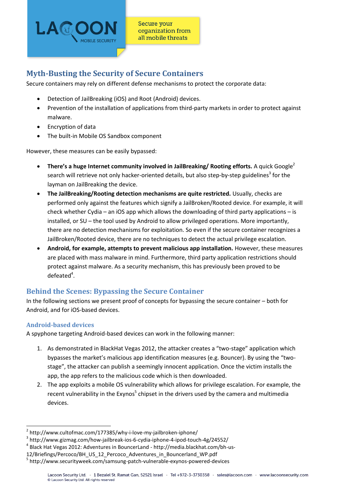

# **Myth-Busting the Security of Secure Containers**

Secure containers may rely on different defense mechanisms to protect the corporate data:

- Detection of JailBreaking (iOS) and Root (Android) devices.
- Prevention of the installation of applications from third-party markets in order to protect against malware.
- Encryption of data
- The built-in Mobile OS Sandbox component

However, these measures can be easily bypassed:

- **There's a huge Internet community involved in JailBreaking/ Rooting efforts.** A quick Google<sup>2</sup> search will retrieve not only hacker-oriented details, but also step-by-step guidelines<sup>3</sup> for the layman on JailBreaking the device.
- **The JailBreaking/Rooting detection mechanisms are quite restricted.** Usually, checks are performed only against the features which signify a JailBroken/Rooted device. For example, it will check whether Cydia – an iOS app which allows the downloading of third party applications – is installed, or SU – the tool used by Android to allow privileged operations. More importantly, there are no detection mechanisms for exploitation. So even if the secure container recognizes a JailBroken/Rooted device, there are no techniques to detect the actual privilege escalation.
- **Android, for example, attempts to prevent malicious app installation.** However, these measures are placed with mass malware in mind. Furthermore, third party application restrictions should protect against malware. As a security mechanism, this has previously been proved to be  $defeated<sup>4</sup>$ .

# **Behind the Scenes: Bypassing the Secure Container**

In the following sections we present proof of concepts for bypassing the secure container – both for Android, and for iOS-based devices.

## **Android-based devices**

1

A spyphone targeting Android-based devices can work in the following manner:

- 1. As demonstrated in BlackHat Vegas 2012, the attacker creates a "two-stage" application which bypasses the market's malicious app identification measures (e.g. Bouncer). By using the "twostage", the attacker can publish a seemingly innocent application. Once the victim installs the app, the app refers to the malicious code which is then downloaded.
- 2. The app exploits a mobile OS vulnerability which allows for privilege escalation. For example, the recent vulnerability in the Exynos<sup>5</sup> chipset in the drivers used by the camera and multimedia devices.

<sup>&</sup>lt;sup>2</sup> http://www.cultofmac.com/177385/why-i-love-my-jailbroken-iphone/

<sup>3</sup> http://www.gizmag.com/how-jailbreak-ios-6-cydia-iphone-4-ipod-touch-4g/24552/

<sup>4</sup> Black Hat Vegas 2012: Adventures in BouncerLand - http://media.blackhat.com/bh-us-

<sup>12/</sup>Briefings/Percoco/BH\_US\_12\_Percoco\_Adventures\_in\_Bouncerland\_WP.pdf

<sup>5</sup> http://www.securityweek.com/samsung-patch-vulnerable-exynos-powered-devices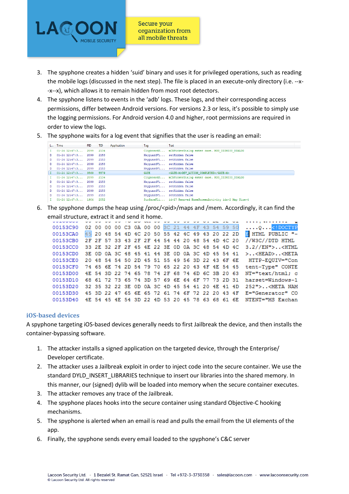

- 3. The spyphone creates a hidden 'suid' binary and uses it for privileged operations, such as reading the mobile logs (discussed in the next step). The file is placed in an execute-only directory (i.e. --x- -x--x), which allows it to remain hidden from most root detectors.
- 4. The spyphone listens to events in the 'adb' logs. These logs, and their corresponding access permissions, differ between Android versions. For versions 2.3 or less, it's possible to simply use the logging permissions. For Android version 4.0 and higher, root permissions are required in order to view the logs.
- 5. The spyphone waits for a log event that signifies that the user is reading an email:

|    | L Time                 | <b>PID</b> | TID  | Application | Tag         | Text                                                         |
|----|------------------------|------------|------|-------------|-------------|--------------------------------------------------------------|
|    | $1$ 01-24 12:47:3      | 2099       | 2134 |             | ClipboardS  | mCBPickerDialog enter case. MSG DISMISS DIALOG               |
|    | D 01-24 12:47:3 2099   |            | 2153 |             | KeyguardVi  | setHidden false                                              |
| D  | $01 - 24$ $12:47:3$    | 2099       | 2153 |             |             | KevguardVi setHidden false                                   |
| D  | $01 - 24$ $12:47:3$    | 2099       | 2153 |             |             | KevguardVi setHidden false                                   |
|    | $D = 01 - 24$ 12:47:3  | 2099       | 2153 |             |             | KeyquardVi setHidden false                                   |
|    | $I$ 01-24 12:47:3 3569 |            | 5579 |             | <b>GATE</b> | <gate-m>DEV ACTION COMPLETED</gate-m>                        |
| T  | $01 - 24$ $12:47:3$    | 2099       | 2134 |             | ClipboardS  | mCBPickerDialog enter case. MSG DISMISS DIALOG               |
|    | D 01-24 12:47:3 2099   |            | 2153 |             |             | KevguardVi setHidden false                                   |
| D  | $01 - 24$ $12:47:3$    | 2099       | 2153 |             |             | KevguardVi setHidden false                                   |
| D. | $01 - 24$ $12:47:3$    | 2099       | 2153 |             |             | KevguardVi setHidden false                                   |
|    | $D$ 01-24 12:47:3      | 2099       | 2153 |             |             | KevguardVi setHidden false                                   |
|    | $01-24$ $12:47:3$ 1904 |            | 2052 |             |             | SurfaceFli id=17 Removed HomeScreenActivity idx=2 Map Size=4 |

6. The spyphone dumps the heap using /proc/<pid>/maps and /mem. Accordingly, it can find the email structure, extract it and send it home.

| <b>COLOGIA</b>                                           |                                                 |  |                                                 |  |  |  |  |  | and distribution of the original and distribution of the second state of  |
|----------------------------------------------------------|-------------------------------------------------|--|-------------------------------------------------|--|--|--|--|--|---------------------------------------------------------------------------|
| 00153C90 02 00 00 00 C3 0A 00 00 3C 21 44 4F 43 54 59 50 |                                                 |  |                                                 |  |  |  |  |  | $\ldots$ . $\ldots$ DOCTYP</td                                            |
| 00153CA0                                                 |                                                 |  | 45 20 48 54 4D 4C 20 50 55 42 4C 49 43 20 22 2D |  |  |  |  |  | <b>B</b> HTML PUBLIC "-                                                   |
| 00153CB0                                                 | 2F 2F 57 33 43 2F 2F 44 54 44 20 48 54 4D 4C 20 |  |                                                 |  |  |  |  |  | //W3C//DTD HTML                                                           |
| 00153CC0 33 2E 32 2F 2F 45 4E 22 3E 0D 0A 3C 48 54 4D 4C |                                                 |  |                                                 |  |  |  |  |  | $3.2 // EN"$ <html< td=""></html<>                                        |
|                                                          |                                                 |  |                                                 |  |  |  |  |  | 00153CD0 3E 0D 0A 3C 48 45 41 44 3E 0D 0A 3C 4D 45 54 41 >< HEAD>< META   |
|                                                          |                                                 |  |                                                 |  |  |  |  |  | 00153CE0 20 48 54 54 50 2D 45 51 55 49 56 3D 22 43 6F 6E HTTP-EOUIV="Con  |
| 00153CF0 74 65 6E 74 2D 54 79 70 65 22 20 43 4F 4E 54 45 |                                                 |  |                                                 |  |  |  |  |  | tent-Type" CONTE                                                          |
| 00153D00 4E 54 3D 22 74 65 78 74 2F 68 74 6D 6C 3B 20 63 |                                                 |  |                                                 |  |  |  |  |  | NT="text/html: c                                                          |
| 00153D10 68 61 72 73 65 74 3D 57 69 6E 64 6F 77 73 2D 31 |                                                 |  |                                                 |  |  |  |  |  | harset=Windows-1                                                          |
|                                                          |                                                 |  |                                                 |  |  |  |  |  | 00153D20 32 35 32 22 3E 0D 0A 3C 4D 45 54 41 20 4E 41 4D 252">< META NAM  |
|                                                          |                                                 |  |                                                 |  |  |  |  |  | 00153D30 45 3D 22 47 65 6E 65 72 61 74 6F 72 22 20 43 4F E="Generator" CO |
|                                                          |                                                 |  |                                                 |  |  |  |  |  | 00153D40 4E 54 45 4E 54 3D 22 4D 53 20 45 78 63 68 61 6E NTENT="MS Exchan |

#### **iOS-based devices**

A spyphone targeting iOS-based devices generally needs to first Jailbreak the device, and then installs the container-bypassing software.

- 1. The attacker installs a signed application on the targeted device, through the Enterprise/ Developer certificate.
- 2. The attacker uses a Jailbreak exploit in order to inject code into the secure container. We use the standard DYLD\_INSERT\_LIBRARIES technique to insert our libraries into the shared memory. In this manner, our (signed) dylib will be loaded into memory when the secure container executes.
- 3. The attacker removes any trace of the Jailbreak.
- 4. The spyphone places hooks into the secure container using standard Objective-C hooking mechanisms.
- 5. The spyphone is alerted when an email is read and pulls the email from the UI elements of the ann.
- 6. Finally, the spyphone sends every email loaded to the spyphone's C&C server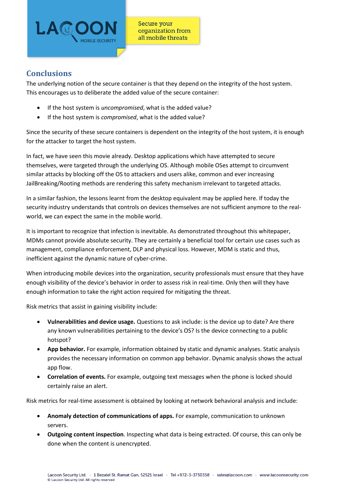

# **Conclusions**

The underlying notion of the secure container is that they depend on the integrity of the host system. This encourages us to deliberate the added value of the secure container:

- If the host system is *uncompromised*, what is the added value?
- If the host system is *compromised*, what is the added value?

Since the security of these secure containers is dependent on the integrity of the host system, it is enough for the attacker to target the host system.

In fact, we have seen this movie already. Desktop applications which have attempted to secure themselves, were targeted through the underlying OS. Although mobile OSes attempt to circumvent similar attacks by blocking off the OS to attackers and users alike, common and ever increasing JailBreaking/Rooting methods are rendering this safety mechanism irrelevant to targeted attacks.

In a similar fashion, the lessons learnt from the desktop equivalent may be applied here. If today the security industry understands that controls on devices themselves are not sufficient anymore to the realworld, we can expect the same in the mobile world.

It is important to recognize that infection is inevitable. As demonstrated throughout this whitepaper, MDMs cannot provide absolute security. They are certainly a beneficial tool for certain use cases such as management, compliance enforcement, DLP and physical loss. However, MDM is static and thus, inefficient against the dynamic nature of cyber-crime.

When introducing mobile devices into the organization, security professionals must ensure that they have enough visibility of the device's behavior in order to assess risk in real-time. Only then will they have enough information to take the right action required for mitigating the threat.

Risk metrics that assist in gaining visibility include:

- **Vulnerabilities and device usage.** Questions to ask include: is the device up to date? Are there any known vulnerabilities pertaining to the device's OS? Is the device connecting to a public hotspot?
- **App behavior.** For example, information obtained by static and dynamic analyses. Static analysis provides the necessary information on common app behavior. Dynamic analysis shows the actual app flow.
- **Correlation of events.** For example, outgoing text messages when the phone is locked should certainly raise an alert.

Risk metrics for real-time assessment is obtained by looking at network behavioral analysis and include:

- **Anomaly detection of communications of apps.** For example, communication to unknown servers.
- **Outgoing content inspection**. Inspecting what data is being extracted. Of course, this can only be done when the content is unencrypted.